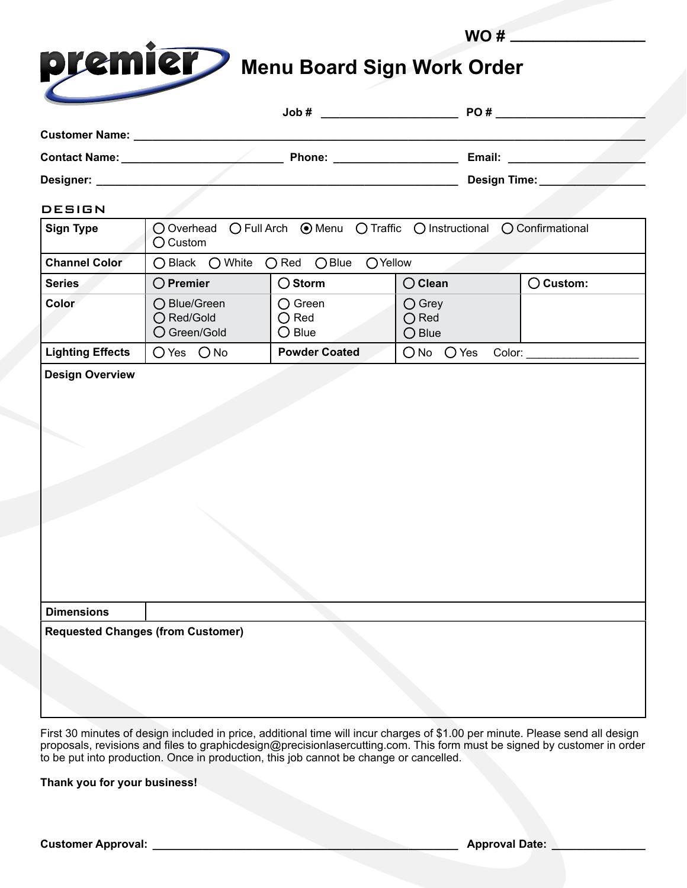|                                                               |                                            |                                                       | WO#                                                                      |                      |  |
|---------------------------------------------------------------|--------------------------------------------|-------------------------------------------------------|--------------------------------------------------------------------------|----------------------|--|
| premier                                                       |                                            |                                                       | <b>Menu Board Sign Work Order</b>                                        |                      |  |
|                                                               |                                            |                                                       |                                                                          |                      |  |
|                                                               |                                            |                                                       |                                                                          |                      |  |
|                                                               |                                            |                                                       |                                                                          |                      |  |
| Designer: __________                                          |                                            |                                                       | Design Time:                                                             |                      |  |
| <b>DESIGN</b>                                                 |                                            |                                                       |                                                                          |                      |  |
| Sign Type                                                     | $\bigcirc$ Custom                          |                                                       | ○ Overhead ○ Full Arch ● Menu ○ Traffic ○ Instructional ○ Confirmational |                      |  |
| <b>Channel Color</b>                                          | ○ Black ○ White ○ Red ○ Blue               | OYellow                                               |                                                                          |                      |  |
| <b>Series</b>                                                 | $\bigcirc$ Premier                         | $\bigcirc$ Storm                                      | $\bigcirc$ Clean                                                         | $\bigcirc$ Custom:   |  |
| Color                                                         | ◯ Blue/Green<br>○ Red/Gold<br>○ Green/Gold | $\bigcirc$ Green<br>$\bigcirc$ Red<br>$\bigcirc$ Blue | $\bigcirc$ Grey<br>$\bigcirc$ Red<br>$\bigcirc$ Blue                     |                      |  |
| <b>Lighting Effects</b>                                       | O Yes O No                                 | <b>Powder Coated</b>                                  | $\bigcirc$ No $\bigcirc$ Yes                                             | Color: _____________ |  |
|                                                               |                                            |                                                       |                                                                          |                      |  |
| <b>Dimensions</b><br><b>Requested Changes (from Customer)</b> |                                            |                                                       |                                                                          |                      |  |

First 30 minutes of design included in price, additional time will incur charges of \$1.00 per minute. Please send all design proposals, revisions and files to graphicdesign@precisionlasercutting.com. This form must be signed by customer in order to be put into production. Once in production, this job cannot be change or cancelled.

**Thank you for your business!**